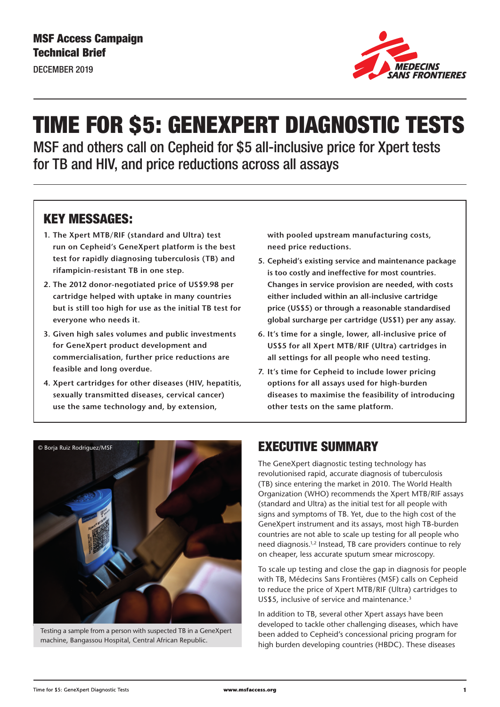DECEMBER 2019



# TIME FOR \$5: GENEXPERT DIAGNOSTIC TESTS

MSF and others call on Cepheid for \$5 all-inclusive price for Xpert tests for TB and HIV, and price reductions across all assays

# KEY MESSAGES:

- **1. The Xpert MTB/RIF (standard and Ultra) test run on Cepheid's GeneXpert platform is the best test for rapidly diagnosing tuberculosis (TB) and rifampicin-resistant TB in one step.**
- **2. The 2012 donor-negotiated price of US\$9.98 per cartridge helped with uptake in many countries but is still too high for use as the initial TB test for everyone who needs it.**
- **3. Given high sales volumes and public investments for GeneXpert product development and commercialisation, further price reductions are feasible and long overdue.**
- **4. Xpert cartridges for other diseases (HIV, hepatitis, sexually transmitted diseases, cervical cancer) use the same technology and, by extension,**

**with pooled upstream manufacturing costs, need price reductions.**

- **5. Cepheid's existing service and maintenance package is too costly and ineffective for most countries. Changes in service provision are needed, with costs either included within an all-inclusive cartridge price (US\$5) or through a reasonable standardised global surcharge per cartridge (US\$1) per any assay.**
- **6. It's time for a single, lower, all-inclusive price of US\$5 for all Xpert MTB/RIF (Ultra) cartridges in all settings for all people who need testing.**
- **7. It's time for Cepheid to include lower pricing options for all assays used for high-burden diseases to maximise the feasibility of introducing other tests on the same platform.**



Testing a sample from a person with suspected TB in a GeneXpert machine, Bangassou Hospital, Central African Republic.

### EXECUTIVE SUMMARY

The GeneXpert diagnostic testing technology has revolutionised rapid, accurate diagnosis of tuberculosis (TB) since entering the market in 2010. The World Health Organization (WHO) recommends the Xpert MTB/RIF assays (standard and Ultra) as the initial test for all people with signs and symptoms of TB. Yet, due to the high cost of the GeneXpert instrument and its assays, most high TB-burden countries are not able to scale up testing for all people who need diagnosis.1,2 Instead, TB care providers continue to rely on cheaper, less accurate sputum smear microscopy.

To scale up testing and close the gap in diagnosis for people with TB, Médecins Sans Frontières (MSF) calls on Cepheid to reduce the price of Xpert MTB/RIF (Ultra) cartridges to US\$5, inclusive of service and maintenance.<sup>3</sup>

In addition to TB, several other Xpert assays have been developed to tackle other challenging diseases, which have been added to Cepheid's concessional pricing program for high burden developing countries (HBDC). These diseases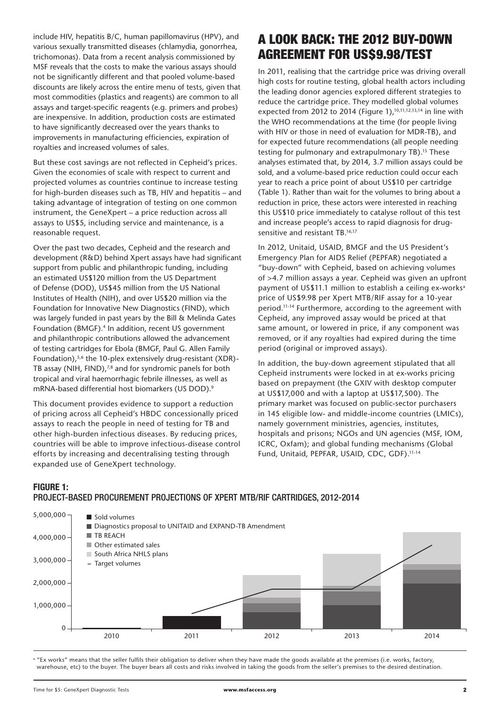include HIV, hepatitis B/C, human papillomavirus (HPV), and various sexually transmitted diseases (chlamydia, gonorrhea, trichomonas). Data from a recent analysis commissioned by MSF reveals that the costs to make the various assays should not be significantly different and that pooled volume-based discounts are likely across the entire menu of tests, given that most commodities (plastics and reagents) are common to all assays and target-specific reagents (e.g. primers and probes) are inexpensive. In addition, production costs are estimated to have significantly decreased over the years thanks to improvements in manufacturing efficiencies, expiration of royalties and increased volumes of sales.

But these cost savings are not reflected in Cepheid's prices. Given the economies of scale with respect to current and projected volumes as countries continue to increase testing for high-burden diseases such as TB, HIV and hepatitis – and taking advantage of integration of testing on one common instrument, the GeneXpert – a price reduction across all assays to US\$5, including service and maintenance, is a reasonable request.

Over the past two decades, Cepheid and the research and development (R&D) behind Xpert assays have had significant support from public and philanthropic funding, including an estimated US\$120 million from the US Department of Defense (DOD), US\$45 million from the US National Institutes of Health (NIH), and over US\$20 million via the Foundation for Innovative New Diagnostics (FIND), which was largely funded in past years by the Bill & Melinda Gates Foundation (BMGF).<sup>4</sup> In addition, recent US government and philanthropic contributions allowed the advancement of testing cartridges for Ebola (BMGF, Paul G. Allen Family Foundation),<sup>5,6</sup> the 10-plex extensively drug-resistant (XDR)-TB assay (NIH, FIND), $78$  and for syndromic panels for both tropical and viral haemorrhagic febrile illnesses, as well as mRNA-based differential host biomarkers (US DOD).<sup>9</sup>

This document provides evidence to support a reduction of pricing across all Cepheid's HBDC concessionally priced assays to reach the people in need of testing for TB and other high-burden infectious diseases. By reducing prices, countries will be able to improve infectious-disease control efforts by increasing and decentralising testing through expanded use of GeneXpert technology.

# A LOOK BACK: THE 2012 BUY-DOWN AGREEMENT FOR US\$9.98/TEST

In 2011, realising that the cartridge price was driving overall high costs for routine testing, global health actors including the leading donor agencies explored different strategies to reduce the cartridge price. They modelled global volumes expected from 2012 to 2014 (Figure 1),<sup>10,11,12,13,14</sup> in line with the WHO recommendations at the time (for people living with HIV or those in need of evaluation for MDR-TB), and for expected future recommendations (all people needing testing for pulmonary and extrapulmonary TB).<sup>15</sup> These analyses estimated that, by 2014, 3.7 million assays could be sold, and a volume-based price reduction could occur each year to reach a price point of about US\$10 per cartridge (Table 1). Rather than wait for the volumes to bring about a reduction in price, these actors were interested in reaching this US\$10 price immediately to catalyse rollout of this test and increase people's access to rapid diagnosis for drugsensitive and resistant TB.16,17

In 2012, Unitaid, USAID, BMGF and the US President's Emergency Plan for AIDS Relief (PEPFAR) negotiated a "buy-down" with Cepheid, based on achieving volumes of >4.7 million assays a year. Cepheid was given an upfront payment of US\$11.1 million to establish a ceiling ex-works<sup>a</sup> price of US\$9.98 per Xpert MTB/RIF assay for a 10-year period.11-14 Furthermore, according to the agreement with Cepheid, any improved assay would be priced at that same amount, or lowered in price, if any component was removed, or if any royalties had expired during the time period (original or improved assays).

In addition, the buy-down agreement stipulated that all Cepheid instruments were locked in at ex-works pricing based on prepayment (the GXIV with desktop computer at US\$17,000 and with a laptop at US\$17,500). The primary market was focused on public-sector purchasers in 145 eligible low- and middle-income countries (LMICs), namely government ministries, agencies, institutes, hospitals and prisons; NGOs and UN agencies (MSF, IOM, ICRC, Oxfam); and global funding mechanisms (Global Fund, Unitaid, PEPFAR, USAID, CDC, GDF).11-14

#### **FIGURE 1:**

### PROJECT-BASED PROCUREMENT PROJECTIONS OF XPERT MTB/RIF CARTRIDGES, 2012-2014



a "Ex works" means that the seller fulfils their obligation to deliver when they have made the goods available at the premises (i.e. works, factory, warehouse, etc) to the buyer. The buyer bears all costs and risks involved in taking the goods from the seller's premises to the desired destination.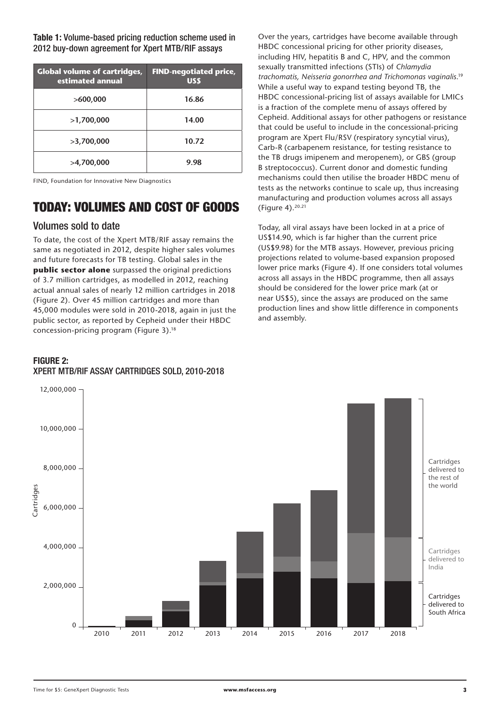**Table 1:** Volume-based pricing reduction scheme used in 2012 buy-down agreement for Xpert MTB/RIF assays

| <b>Global volume of cartridges,</b><br>estimated annual | <b>FIND-negotiated price,</b><br><b>USS</b> |
|---------------------------------------------------------|---------------------------------------------|
| >600,000                                                | 16.86                                       |
| >1,700,000                                              | 14.00                                       |
| >3,700,000                                              | 10.72                                       |
| >4,700,000                                              | 9.98                                        |

FIND, Foundation for Innovative New Diagnostics

### TODAY: VOLUMES AND COST OF GOODS

#### Volumes sold to date

To date, the cost of the Xpert MTB/RIF assay remains the same as negotiated in 2012, despite higher sales volumes and future forecasts for TB testing. Global sales in the **public sector alone** surpassed the original predictions of 3.7 million cartridges, as modelled in 2012, reaching actual annual sales of nearly 12 million cartridges in 2018 (Figure 2). Over 45 million cartridges and more than 45,000 modules were sold in 2010-2018, again in just the public sector, as reported by Cepheid under their HBDC concession-pricing program (Figure 3).18

#### **FIGURE 2:**  XPERT MTB/RIF ASSAY CARTRIDGES SOLD, 2010-2018

Over the years, cartridges have become available through HBDC concessional pricing for other priority diseases, including HIV, hepatitis B and C, HPV, and the common sexually transmitted infections (STIs) of *Chlamydia trachomatis, Neisseria gonorrhea and Trichomonas vaginalis*. 19 While a useful way to expand testing beyond TB, the HBDC concessional-pricing list of assays available for LMICs is a fraction of the complete menu of assays offered by Cepheid. Additional assays for other pathogens or resistance that could be useful to include in the concessional-pricing program are Xpert Flu/RSV (respiratory syncytial virus), Carb-R (carbapenem resistance, for testing resistance to the TB drugs imipenem and meropenem), or GBS (group B streptococcus). Current donor and domestic funding mechanisms could then utilise the broader HBDC menu of tests as the networks continue to scale up, thus increasing manufacturing and production volumes across all assays (Figure 4).<sup>20.21</sup>

Today, all viral assays have been locked in at a price of US\$14.90, which is far higher than the current price (US\$9.98) for the MTB assays. However, previous pricing projections related to volume-based expansion proposed lower price marks (Figure 4). If one considers total volumes across all assays in the HBDC programme, then all assays should be considered for the lower price mark (at or near US\$5), since the assays are produced on the same production lines and show little difference in components and assembly.

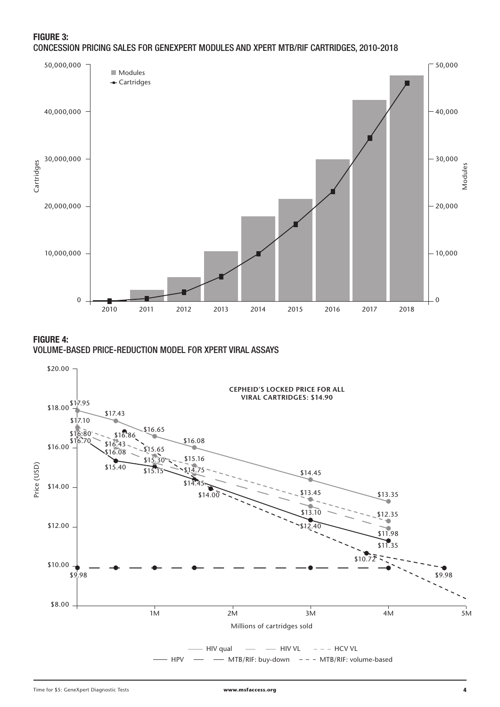#### **FIGURE 3:**  CONCESSION PRICING SALES FOR GENEXPERT MODULES AND XPERT MTB/RIF CARTRIDGES, 2010-2018



**FIGURE 4:** 

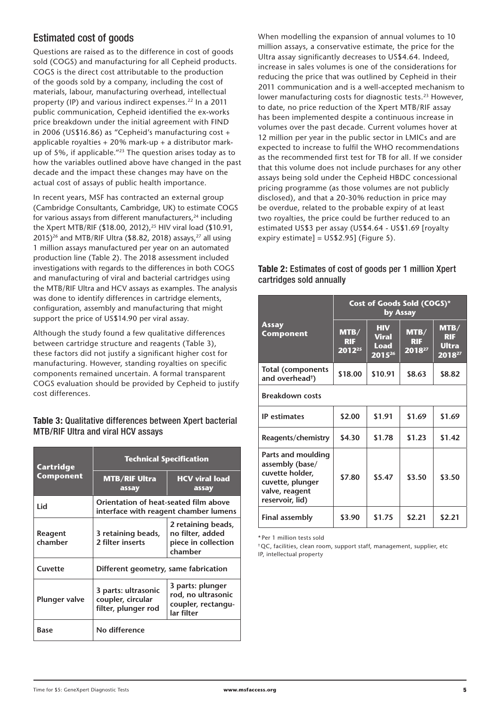### Estimated cost of goods

Questions are raised as to the difference in cost of goods sold (COGS) and manufacturing for all Cepheid products. COGS is the direct cost attributable to the production of the goods sold by a company, including the cost of materials, labour, manufacturing overhead, intellectual property (IP) and various indirect expenses.<sup>22</sup> In a 2011 public communication, Cepheid identified the ex-works price breakdown under the initial agreement with FIND in 2006 (US\$16.86) as "Cepheid's manufacturing cost + applicable royalties  $+ 20\%$  mark-up  $+ a$  distributor markup of 5%, if applicable."23 The question arises today as to how the variables outlined above have changed in the past decade and the impact these changes may have on the actual cost of assays of public health importance.

In recent years, MSF has contracted an external group (Cambridge Consultants, Cambridge, UK) to estimate COGS for various assays from different manufacturers,<sup>24</sup> including the Xpert MTB/RIF (\$18.00, 2012),<sup>25</sup> HIV viral load (\$10.91, 2015)<sup>26</sup> and MTB/RIF Ultra (\$8.82, 2018) assays,<sup>27</sup> all using 1 million assays manufactured per year on an automated production line (Table 2). The 2018 assessment included investigations with regards to the differences in both COGS and manufacturing of viral and bacterial cartridges using the MTB/RIF Ultra and HCV assays as examples. The analysis was done to identify differences in cartridge elements, configuration, assembly and manufacturing that might support the price of US\$14.90 per viral assay.

Although the study found a few qualitative differences between cartridge structure and reagents (Table 3), these factors did not justify a significant higher cost for manufacturing. However, standing royalties on specific components remained uncertain. A formal transparent COGS evaluation should be provided by Cepheid to justify cost differences.

#### **Table 3:** Qualitative differences between Xpert bacterial MTB/RIF Ultra and viral HCV assays

| Cartridge            | <b>Technical Specification</b>                                                 |                                                                            |  |  |
|----------------------|--------------------------------------------------------------------------------|----------------------------------------------------------------------------|--|--|
| Component            | <b>MTB/RIF Ultra</b><br>assay                                                  | <b>HCV viral load</b><br>assay                                             |  |  |
| Lid                  | Orientation of heat-seated film above<br>interface with reagent chamber lumens |                                                                            |  |  |
| Reagent<br>chamber   | 3 retaining beads,<br>2 filter inserts                                         | 2 retaining beads,<br>no filter, added<br>piece in collection<br>chamber   |  |  |
| Cuvette              | Different geometry, same fabrication                                           |                                                                            |  |  |
| <b>Plunger valve</b> | 3 parts: ultrasonic<br>coupler, circular<br>filter, plunger rod                | 3 parts: plunger<br>rod, no ultrasonic<br>coupler, rectangu-<br>lar filter |  |  |
| Base                 | No difference                                                                  |                                                                            |  |  |

When modelling the expansion of annual volumes to 10 million assays, a conservative estimate, the price for the Ultra assay significantly decreases to US\$4.64. Indeed, increase in sales volumes is one of the considerations for reducing the price that was outlined by Cepheid in their 2011 communication and is a well-accepted mechanism to lower manufacturing costs for diagnostic tests.<sup>23</sup> However, to date, no price reduction of the Xpert MTB/RIF assay has been implemented despite a continuous increase in volumes over the past decade. Current volumes hover at 12 million per year in the public sector in LMICs and are expected to increase to fulfil the WHO recommendations as the recommended first test for TB for all. If we consider that this volume does not include purchases for any other assays being sold under the Cepheid HBDC concessional pricing programme (as those volumes are not publicly disclosed), and that a 20-30% reduction in price may be overdue, related to the probable expiry of at least two royalties, the price could be further reduced to an estimated US\$3 per assay (US\$4.64 - US\$1.69 [royalty expiry estimate] = US\$2.95] (Figure 5).

#### **Table 2:** Estimates of cost of goods per 1 million Xpert cartridges sold annually

|                                                                                                                   | Cost of Goods Sold (COGS)*<br>by Assay |                                                          |                              |                                              |  |  |
|-------------------------------------------------------------------------------------------------------------------|----------------------------------------|----------------------------------------------------------|------------------------------|----------------------------------------------|--|--|
| <b>Assay</b><br><b>Component</b>                                                                                  | MTB/<br><b>RIF</b><br>$2012^{25}$      | <b>HIV</b><br><b>Viral</b><br><b>Load</b><br>$2015^{26}$ | MTB/<br><b>RIF</b><br>201827 | MTB/<br><b>RIF</b><br><b>Ultra</b><br>201827 |  |  |
| <b>Total (components</b><br>and overhead <sup>†</sup> )                                                           | \$18.00                                | \$10.91                                                  | \$8.63                       | \$8.82                                       |  |  |
| <b>Breakdown costs</b>                                                                                            |                                        |                                                          |                              |                                              |  |  |
| <b>IP</b> estimates                                                                                               | \$2.00                                 | \$1.91                                                   | \$1.69                       | \$1.69                                       |  |  |
| Reagents/chemistry                                                                                                | \$4.30                                 | \$1.78                                                   | \$1.23                       | \$1.42                                       |  |  |
| Parts and moulding<br>assembly (base/<br>cuvette holder,<br>cuvette, plunger<br>valve, reagent<br>reservoir, lid) | \$7.80                                 | \$5.47                                                   | \$3.50                       | \$3.50                                       |  |  |
| Final assembly                                                                                                    | \$3.90                                 | \$1.75                                                   | \$2.21                       | \$2.21                                       |  |  |

\* Per 1 million tests sold

†QC, facilities, clean room, support staff, management, supplier, etc IP, intellectual property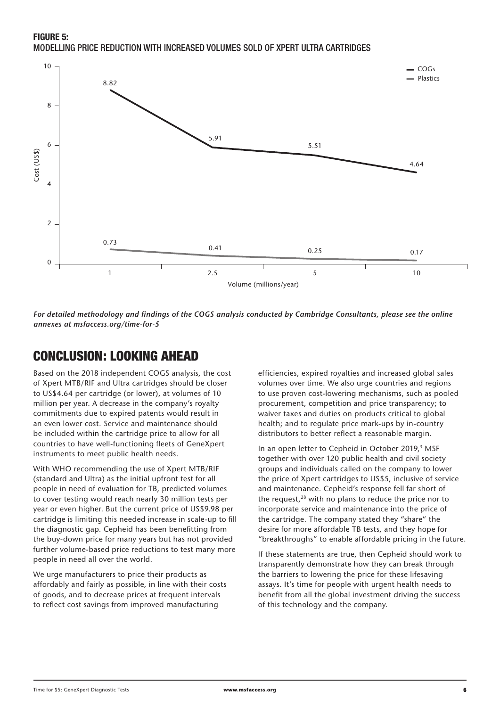**FIGURE 5:**  MODELLING PRICE REDUCTION WITH INCREASED VOLUMES SOLD OF XPERT ULTRA CARTRIDGES



*For detailed methodology and findings of the COGS analysis conducted by Cambridge Consultants, please see the online* 

### CONCLUSION: LOOKING AHEAD

Based on the 2018 independent COGS analysis, the cost of Xpert MTB/RIF and Ultra cartridges should be closer to US\$4.64 per cartridge (or lower), at volumes of 10 million per year. A decrease in the company's royalty commitments due to expired patents would result in an even lower cost. Service and maintenance should be included within the cartridge price to allow for all countries to have well-functioning fleets of GeneXpert instruments to meet public health needs.

With WHO recommending the use of Xpert MTB/RIF (standard and Ultra) as the initial upfront test for all people in need of evaluation for TB, predicted volumes to cover testing would reach nearly 30 million tests per year or even higher. But the current price of US\$9.98 per cartridge is limiting this needed increase in scale-up to fill the diagnostic gap. Cepheid has been benefitting from the buy-down price for many years but has not provided further volume-based price reductions to test many more people in need all over the world.

We urge manufacturers to price their products as affordably and fairly as possible, in line with their costs of goods, and to decrease prices at frequent intervals to reflect cost savings from improved manufacturing

efficiencies, expired royalties and increased global sales volumes over time. We also urge countries and regions to use proven cost-lowering mechanisms, such as pooled procurement, competition and price transparency; to waiver taxes and duties on products critical to global health; and to regulate price mark-ups by in-country distributors to better reflect a reasonable margin.

In an open letter to Cepheid in October 2019,<sup>3</sup> MSF together with over 120 public health and civil society groups and individuals called on the company to lower the price of Xpert cartridges to US\$5, inclusive of service and maintenance. Cepheid's response fell far short of the request,<sup>28</sup> with no plans to reduce the price nor to incorporate service and maintenance into the price of the cartridge. The company stated they "share" the desire for more affordable TB tests, and they hope for "breakthroughs" to enable affordable pricing in the future.

If these statements are true, then Cepheid should work to transparently demonstrate how they can break through the barriers to lowering the price for these lifesaving assays. It's time for people with urgent health needs to benefit from all the global investment driving the success of this technology and the company.